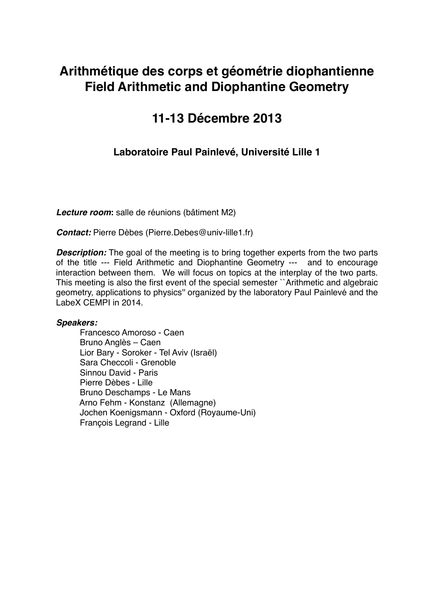# **Arithmétique des corps et géométrie diophantienne Field Arithmetic and Diophantine Geometry**

## **11-13 Décembre 2013**

### **Laboratoire Paul Painlevé, Université Lille 1**

*Lecture room***:** salle de réunions (bâtiment M2)

*Contact:* Pierre Dèbes (Pierre.Debes@univ-lille1.fr)

**Description:** The goal of the meeting is to bring together experts from the two parts of the title --- Field Arithmetic and Diophantine Geometry --- and to encourage interaction between them. We will focus on topics at the interplay of the two parts. This meeting is also the first event of the special semester ``Arithmetic and algebraic geometry, applications to physics'' organized by the laboratory Paul Painlevé and the LabeX CEMPI in 2014.

#### *Speakers:*

 Francesco Amoroso - Caen Bruno Anglès – Caen Lior Bary - Soroker - Tel Aviv (Israël) Sara Checcoli - Grenoble Sinnou David - Paris Pierre Dèbes - Lille Bruno Deschamps - Le Mans Arno Fehm - Konstanz (Allemagne) Jochen Koenigsmann - Oxford (Royaume-Uni) François Legrand - Lille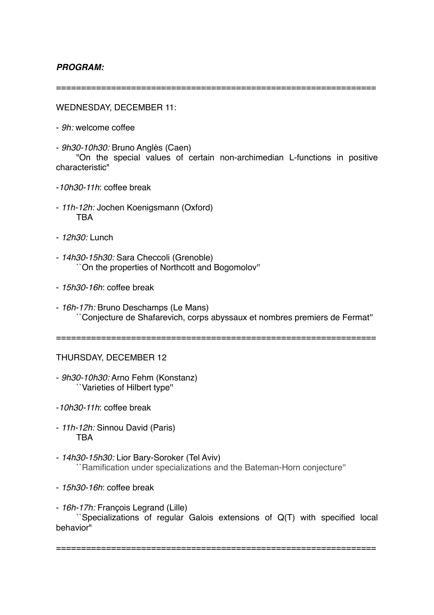#### *PROGRAM:*

==============================

WEDNESDAY, DECEMBER 11:

- *9h:* welcome coffee
- *9h30-10h30:* Bruno Anglès (Caen)

"On the special values of certain non-archimedian L-functions in positive characteristic"

- -*10h30-11h*: coffee break
- *11h-12h:* Jochen Koenigsmann (Oxford) TBA
- *12h30:* Lunch
- *14h30-15h30:* Sara Checcoli (Grenoble) ``On the properties of Northcott and Bogomolov''
- *15h30-16h*: coffee break
- *16h-17h:* Bruno Deschamps (Le Mans) ``Conjecture de Shafarevich, corps abyssaux et nombres premiers de Fermat''

================================================================

THURSDAY, DECEMBER 12

- *9h30-10h30:* Arno Fehm (Konstanz) ``Varieties of Hilbert type''
- -*10h30-11h*: coffee break
- *11h-12h:* Sinnou David (Paris) **TBA**
- *14h30-15h30:* Lior Bary-Soroker (Tel Aviv) ``Ramification under specializations and the Bateman-Horn conjecture''
- *15h30-16h*: coffee break
- *16h-17h:* François Legrand (Lille)

``Specializations of regular Galois extensions of Q(T) with specified local behavior"

================================================================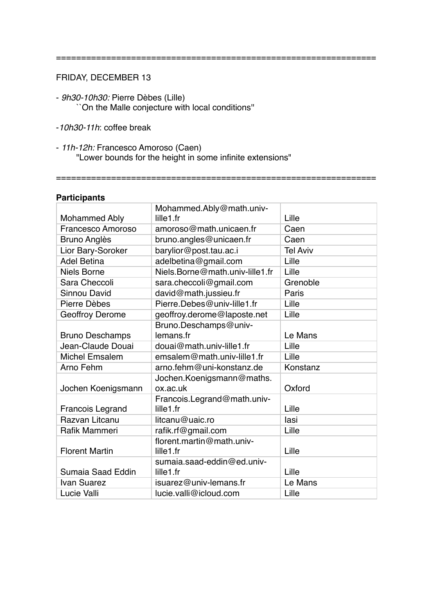================================================================

================================================================

FRIDAY, DECEMBER 13

- *9h30-10h30:* Pierre Dèbes (Lille) ``On the Malle conjecture with local conditions''
- -*10h30-11h*: coffee break
- *11h-12h:* Francesco Amoroso (Caen) "Lower bounds for the height in some infinite extensions"

#### **Participants**

|                        | Mohammed.Ably@math.univ-        |                 |
|------------------------|---------------------------------|-----------------|
| <b>Mohammed Ably</b>   | lille1.fr                       | Lille           |
| Francesco Amoroso      | amoroso@math.unicaen.fr         | Caen            |
| <b>Bruno Anglès</b>    | bruno.angles@unicaen.fr         | Caen            |
| Lior Bary-Soroker      | barylior@post.tau.ac.i          | <b>Tel Aviv</b> |
| <b>Adel Betina</b>     | adelbetina@gmail.com            | Lille           |
| <b>Niels Borne</b>     | Niels.Borne@math.univ-lille1.fr | Lille           |
| Sara Checcoli          | sara.checcoli@gmail.com         | Grenoble        |
| Sinnou David           | david@math.jussieu.fr           | Paris           |
| Pierre Dèbes           | Pierre.Debes@univ-lille1.fr     | Lille           |
| <b>Geoffroy Derome</b> | geoffroy.derome@laposte.net     | Lille           |
|                        | Bruno.Deschamps@univ-           |                 |
| <b>Bruno Deschamps</b> | lemans.fr                       | Le Mans         |
| Jean-Claude Douai      | douai@math.univ-lille1.fr       | Lille           |
| <b>Michel Emsalem</b>  | emsalem@math.univ-lille1.fr     | Lille           |
| Arno Fehm              | arno.fehm@uni-konstanz.de       | Konstanz        |
|                        | Jochen.Koenigsmann@maths.       |                 |
| Jochen Koenigsmann     | ox.ac.uk                        | Oxford          |
|                        | Francois.Legrand@math.univ-     |                 |
| Francois Legrand       | lille1.fr                       | Lille           |
| Razvan Litcanu         | litcanu@uaic.ro                 | lasi            |
| Rafik Mammeri          | rafik.rf@gmail.com              | Lille           |
|                        | florent.martin@math.univ-       |                 |
| <b>Florent Martin</b>  | lille1.fr                       | Lille           |
|                        | sumaia.saad-eddin@ed.univ-      |                 |
| Sumaia Saad Eddin      | lille1.fr                       | Lille           |
| <b>Ivan Suarez</b>     | isuarez@univ-lemans.fr          | Le Mans         |
| Lucie Valli            | lucie.valli@icloud.com          | Lille           |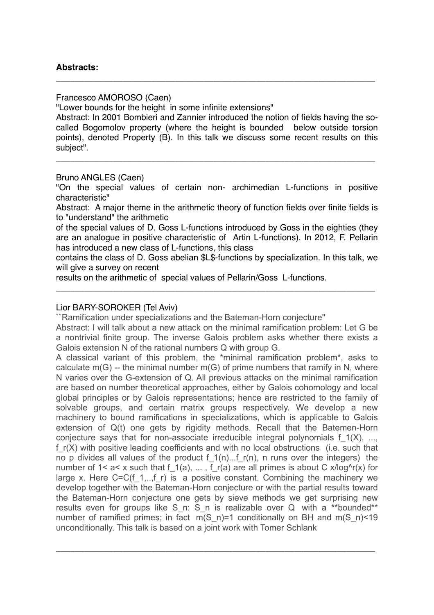#### **Abstracts:**

Francesco AMOROSO (Caen)

"Lower bounds for the height in some infinite extensions"

Abstract: In 2001 Bombieri and Zannier introduced the notion of fields having the socalled Bogomolov property (where the height is bounded below outside torsion points), denoted Property (B). In this talk we discuss some recent results on this subject".

**\_\_\_\_\_\_\_\_\_\_\_\_\_\_\_\_\_\_\_\_\_\_\_\_\_\_\_\_\_\_\_\_\_\_\_\_\_\_\_\_\_\_\_\_\_\_\_\_\_\_\_\_\_\_\_\_\_\_\_\_\_\_\_\_\_\_\_**

**\_\_\_\_\_\_\_\_\_\_\_\_\_\_\_\_\_\_\_\_\_\_\_\_\_\_\_\_\_\_\_\_\_\_\_\_\_\_\_\_\_\_\_\_\_\_\_\_\_\_\_\_\_\_\_\_\_\_\_\_\_\_\_\_\_\_\_**

#### Bruno ANGLES (Caen)

"On the special values of certain non- archimedian L-functions in positive characteristic"

Abstract: A major theme in the arithmetic theory of function fields over finite fields is to "understand" the arithmetic

of the special values of D. Goss L-functions introduced by Goss in the eighties (they are an analogue in positive characteristic of Artin L-functions). In 2012, F. Pellarin has introduced a new class of L-functions, this class

contains the class of D. Goss abelian \$L\$-functions by specialization. In this talk, we will give a survey on recent

**\_\_\_\_\_\_\_\_\_\_\_\_\_\_\_\_\_\_\_\_\_\_\_\_\_\_\_\_\_\_\_\_\_\_\_\_\_\_\_\_\_\_\_\_\_\_\_\_\_\_\_\_\_\_\_\_\_\_\_\_\_\_\_\_\_\_\_**

results on the arithmetic of special values of Pellarin/Goss L-functions.

#### Lior BARY-SOROKER (Tel Aviv)

``Ramification under specializations and the Bateman-Horn conjecture''

Abstract: I will talk about a new attack on the minimal ramification problem: Let G be a nontrivial finite group. The inverse Galois problem asks whether there exists a Galois extension N of the rational numbers Q with group G.

A classical variant of this problem, the \*minimal ramification problem\*, asks to calculate  $m(G)$  -- the minimal number  $m(G)$  of prime numbers that ramify in N, where N varies over the G-extension of Q. All previous attacks on the minimal ramification are based on number theoretical approaches, either by Galois cohomology and local global principles or by Galois representations; hence are restricted to the family of solvable groups, and certain matrix groups respectively. We develop a new machinery to bound ramifications in specializations, which is applicable to Galois extension of Q(t) one gets by rigidity methods. Recall that the Batemen-Horn conjecture says that for non-associate irreducible integral polynomials  $f_1(X), \ldots, f_k(X)$ f  $r(X)$  with positive leading coefficients and with no local obstructions (i.e. such that no p divides all values of the product f  $1(n)...f$  r(n), n runs over the integers) the number of 1< a< x such that f 1(a), ... , f r(a) are all primes is about C x/log^r(x) for large x. Here  $C=C(f_1, \ldots, f_r)$  is a positive constant. Combining the machinery we develop together with the Bateman-Horn conjecture or with the partial results toward the Bateman-Horn conjecture one gets by sieve methods we get surprising new results even for groups like S n: S n is realizable over Q with a \*\*bounded\*\* number of ramified primes; in fact  $m(S \nvert n)=1$  conditionally on BH and  $m(S \nvert n)$  < 19 unconditionally. This talk is based on a joint work with Tomer Schlank

**\_\_\_\_\_\_\_\_\_\_\_\_\_\_\_\_\_\_\_\_\_\_\_\_\_\_\_\_\_\_\_\_\_\_\_\_\_\_\_\_\_\_\_\_\_\_\_\_\_\_\_\_\_\_\_\_\_\_\_\_\_\_\_\_\_\_\_**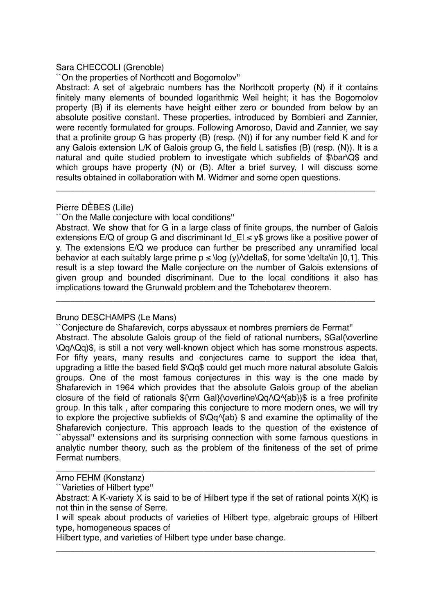#### Sara CHECCOLI (Grenoble)

#### ``On the properties of Northcott and Bogomolov''

Abstract: A set of algebraic numbers has the Northcott property (N) if it contains finitely many elements of bounded logarithmic Weil height; it has the Bogomolov property (B) if its elements have height either zero or bounded from below by an absolute positive constant. These properties, introduced by Bombieri and Zannier, were recently formulated for groups. Following Amoroso, David and Zannier, we say that a profinite group G has property (B) (resp. (N)) if for any number field K and for any Galois extension L/K of Galois group G, the field L satisfies (B) (resp. (N)). It is a natural and quite studied problem to investigate which subfields of \$\bar\Q\$ and which groups have property (N) or (B). After a brief survey, I will discuss some results obtained in collaboration with M. Widmer and some open questions.

**\_\_\_\_\_\_\_\_\_\_\_\_\_\_\_\_\_\_\_\_\_\_\_\_\_\_\_\_\_\_\_\_\_\_\_\_\_\_\_\_\_\_\_\_\_\_\_\_\_\_\_\_\_\_\_\_\_\_\_\_\_\_\_\_\_\_\_**

#### Pierre DÈBES (Lille)

#### ``On the Malle conjecture with local conditions''

Abstract. We show that for G in a large class of finite groups, the number of Galois extensions E/Q of group G and discriminant  $\mathsf{Id}$  EI  $\leq$  y\$ grows like a positive power of y. The extensions E/Q we produce can further be prescribed any unramified local behavior at each suitably large prime  $p \leq \log (y)$  delta\$, for some \delta\in ]0,1]. This result is a step toward the Malle conjecture on the number of Galois extensions of given group and bounded discriminant. Due to the local conditions it also has implications toward the Grunwald problem and the Tchebotarev theorem.

**\_\_\_\_\_\_\_\_\_\_\_\_\_\_\_\_\_\_\_\_\_\_\_\_\_\_\_\_\_\_\_\_\_\_\_\_\_\_\_\_\_\_\_\_\_\_\_\_\_\_\_\_\_\_\_\_\_\_\_\_\_\_\_\_\_\_\_**

#### Bruno DESCHAMPS (Le Mans)

``Conjecture de Shafarevich, corps abyssaux et nombres premiers de Fermat'' Abstract. The absolute Galois group of the field of rational numbers, \$Gal(\overline \Qq/\Qq)\$, is still a not very well-known object which has some monstrous aspects. For fifty years, many results and conjectures came to support the idea that, upgrading a little the based field \$\Qq\$ could get much more natural absolute Galois groups. One of the most famous conjectures in this way is the one made by Shafarevich in 1964 which provides that the absolute Galois group of the abelian closure of the field of rationals \${\rm Gal}(\overline\Qq/\Q^{ab})\$ is a free profinite group. In this talk , after comparing this conjecture to more modern ones, we will try to explore the projective subfields of \$\Qq^{ab} \$ and examine the optimality of the Shafarevich conjecture. This approach leads to the question of the existence of ``abyssal'' extensions and its surprising connection with some famous questions in analytic number theory, such as the problem of the finiteness of the set of prime Fermat numbers.

#### Arno FEHM (Konstanz)

``Varieties of Hilbert type''

**\_\_\_\_\_\_\_\_\_\_\_\_\_\_\_\_\_\_\_\_\_\_\_\_\_\_\_\_\_\_\_\_\_\_\_\_\_\_\_\_\_\_\_\_\_\_\_\_\_\_\_\_\_\_\_\_\_\_\_\_\_\_\_\_\_\_\_**

I will speak about products of varieties of Hilbert type, algebraic groups of Hilbert type, homogeneous spaces of

**\_\_\_\_\_\_\_\_\_\_\_\_\_\_\_\_\_\_\_\_\_\_\_\_\_\_\_\_\_\_\_\_\_\_\_\_\_\_\_\_\_\_\_\_\_\_\_\_\_\_\_\_\_\_\_\_\_\_\_\_\_\_\_\_\_\_\_**

Hilbert type, and varieties of Hilbert type under base change.

Abstract: A K-variety X is said to be of Hilbert type if the set of rational points  $X(K)$  is not thin in the sense of Serre.